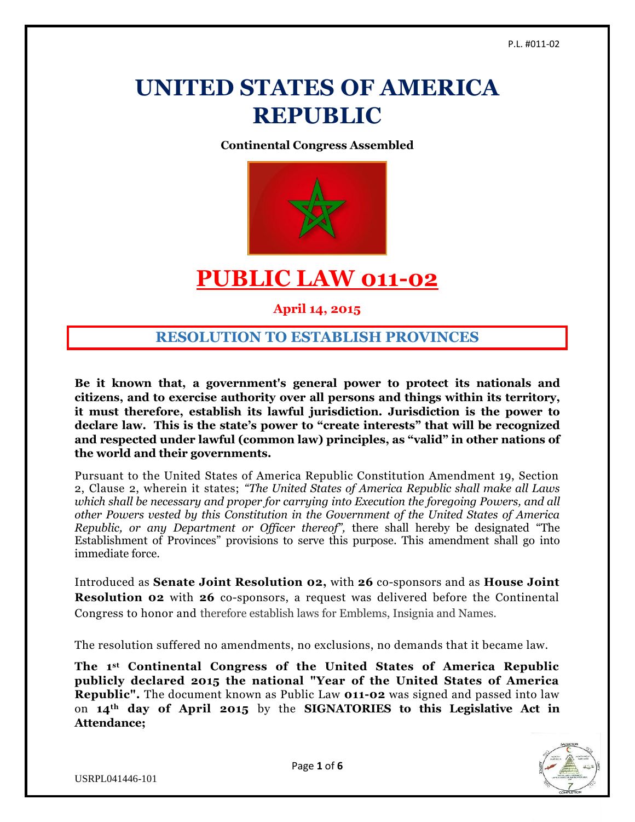# **UNITED STATES OF AMERICA REPUBLIC**

**Continental Congress Assembled**



# **PUBLIC LAW 011-02**

**April 14, 2015**

## **RESOLUTION TO ESTABLISH PROVINCES**

**Be it known that, a government's general power to protect its nationals and citizens, and to exercise authority over all persons and things within its territory, it must therefore, establish its lawful jurisdiction. Jurisdiction is the power to declare law. This is the state's power to "create interests" that will be recognized and respected under lawful (common law) principles, as "valid" in other nations of the world and their governments.**

Pursuant to the United States of America Republic Constitution Amendment 19, Section 2, Clause 2, wherein it states; *"The United States of America Republic shall make all Laws which shall be necessary and proper for carrying into Execution the foregoing Powers, and all other Powers vested by this Constitution in the Government of the United States of America Republic, or any Department or Officer thereof",* there shall hereby be designated "The Establishment of Provinces" provisions to serve this purpose. This amendment shall go into immediate force.

Introduced as **Senate Joint Resolution 02,** with **26** co-sponsors and as **House Joint Resolution 02** with **26** co-sponsors, a request was delivered before the Continental Congress to honor and therefore establish laws for Emblems, Insignia and Names.

The resolution suffered no amendments, no exclusions, no demands that it became law.

**The 1st Continental Congress of the United States of America Republic publicly declared 2015 the national "Year of the United States of America Republic".** The document known as Public Law **011-02** was signed and passed into law on **14th day of April 2015** by the **SIGNATORIES to this Legislative Act in Attendance;**

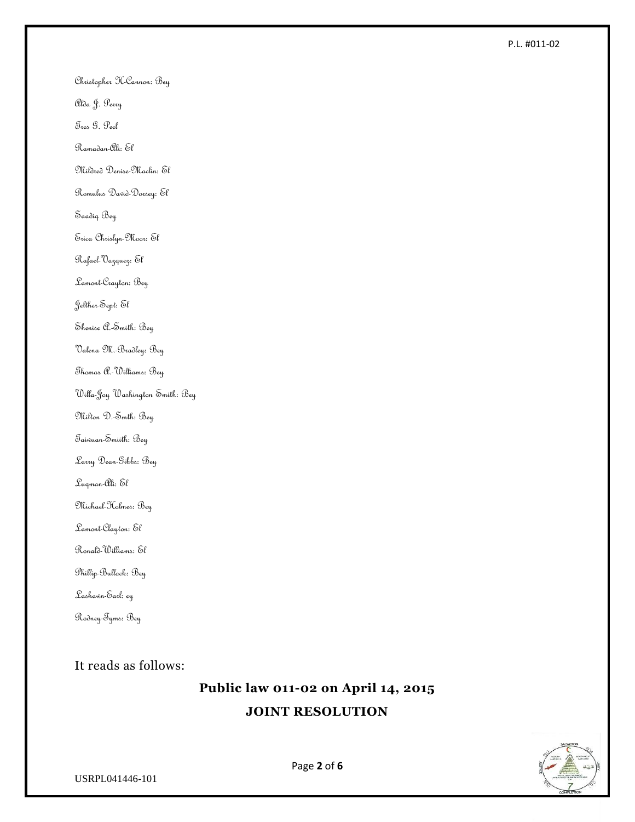Christopher H-Cannon: Bey

Alda J. Perry

Tres G. Peel

Ramadan-Ali: El

Mildred Denise-Maclin: El

Romulus David-Dorsey: El

Saadiq Bey

Erica Chrislyn-Moor: El

Rafael-Vazquez: El

Lamont-Crayton: Bey

Jelther-Sept: El

Shenise A.-Smith: Bey

Valena M.-Bradley: Bey

Thomas A.-Williams: Bey

Willa-Joy Washington Smith: Bey

Milton D.-Smth: Bey

Taiwuan-Smiith: Bey

Larry Dean-Gibbs: Bey

Luqman-Ali: El

Michael-Holmes: Bey

Lamont-Clayton: El

Ronald-Williams: El

Phillip-Bullock: Bey

Lashawn-Earl: ey

Rodney-Tyms: Bey

It reads as follows:

# **Public law 011-02 on April 14, 2015 JOINT RESOLUTION**



Page **2** of **6**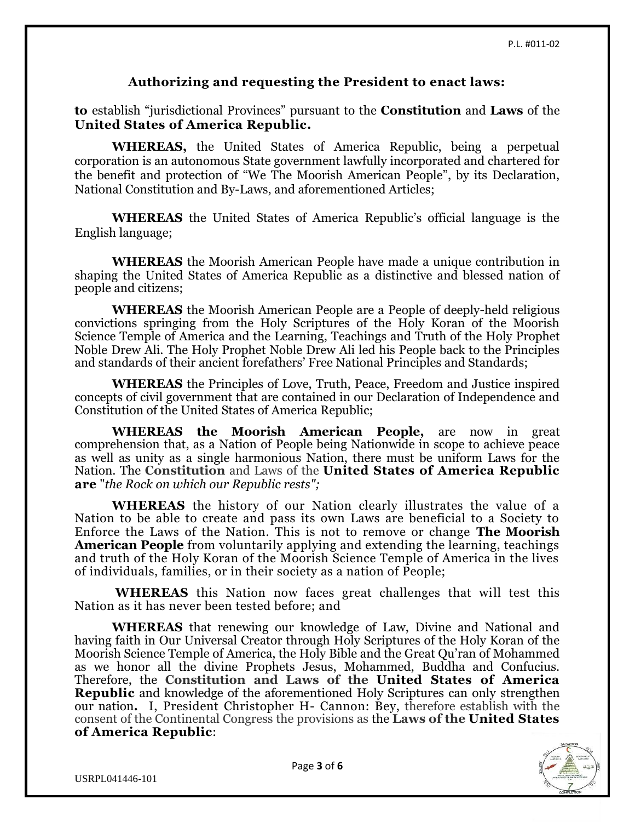#### **Authorizing and requesting the President to enact laws:**

**to** establish "jurisdictional Provinces" pursuant to the **Constitution** and **Laws** of the **United States of America Republic.**

**WHEREAS,** the United States of America Republic, being a perpetual corporation is an autonomous State government lawfully incorporated and chartered for the benefit and protection of "We The Moorish American People", by its Declaration, National Constitution and By-Laws, and aforementioned Articles;

**WHEREAS** the United States of America Republic's official language is the English language;

**WHEREAS** the Moorish American People have made a unique contribution in shaping the United States of America Republic as a distinctive and blessed nation of people and citizens;

**WHEREAS** the Moorish American People are a People of deeply-held religious convictions springing from the Holy Scriptures of the Holy Koran of the Moorish Science Temple of America and the Learning, Teachings and Truth of the Holy Prophet Noble Drew Ali. The Holy Prophet Noble Drew Ali led his People back to the Principles and standards of their ancient forefathers' Free National Principles and Standards;

**WHEREAS** the Principles of Love, Truth, Peace, Freedom and Justice inspired concepts of civil government that are contained in our Declaration of Independence and Constitution of the United States of America Republic;

**WHEREAS the Moorish American People,** are now in great comprehension that, as a Nation of People being Nationwide in scope to achieve peace as well as unity as a single harmonious Nation, there must be uniform Laws for the Nation. The **Constitution** and Laws of the **United States of America Republic are** "*the Rock on which our Republic rests";*

**WHEREAS** the history of our Nation clearly illustrates the value of a Nation to be able to create and pass its own Laws are beneficial to a Society to Enforce the Laws of the Nation. This is not to remove or change **The Moorish American People** from voluntarily applying and extending the learning, teachings and truth of the Holy Koran of the Moorish Science Temple of America in the lives of individuals, families, or in their society as a nation of People;

**WHEREAS** this Nation now faces great challenges that will test this Nation as it has never been tested before; and

**WHEREAS** that renewing our knowledge of Law, Divine and National and having faith in Our Universal Creator through Holy Scriptures of the Holy Koran of the Moorish Science Temple of America, the Holy Bible and the Great Qu'ran of Mohammed as we honor all the divine Prophets Jesus, Mohammed, Buddha and Confucius. Therefore, the **Constitution and Laws of the United States of America Republic** and knowledge of the aforementioned Holy Scriptures can only strengthen our nation**.** I, President Christopher H- Cannon: Bey, therefore establish with the consent of the Continental Congress the provisions as the **Laws of the United States of America Republic**:

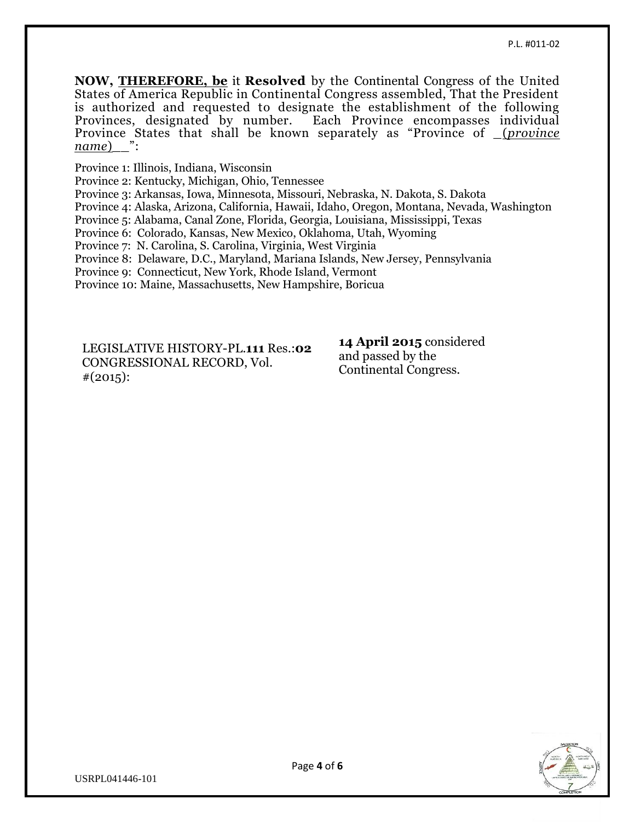**NOW, [THEREFORE, be](http://therefore.be/)** it **Resolved** by the Continental Congress of the United States of America Republic in Continental Congress assembled, That the President is authorized and requested to designate the establishment of the following Provinces, designated by number. Each Province encompasses individual Province States that shall be known separately as "Province of \_(*province name*)\_\_":

Province 1: Illinois, Indiana, Wisconsin

Province 2: Kentucky, Michigan, Ohio, Tennessee

Province 3: Arkansas, Iowa, Minnesota, Missouri, Nebraska, N. Dakota, S. Dakota

Province 4: Alaska, Arizona, California, Hawaii, Idaho, Oregon, Montana, Nevada, Washington

Province 5: Alabama, Canal Zone, Florida, Georgia, Louisiana, Mississippi, Texas

Province 6: Colorado, Kansas, New Mexico, Oklahoma, Utah, Wyoming

Province 7: N. Carolina, S. Carolina, Virginia, West Virginia

Province 8: Delaware, D.C., Maryland, Mariana Islands, New Jersey, Pennsylvania

Province 9: Connecticut, New York, Rhode Island, Vermont

Province 10: Maine, Massachusetts, New Hampshire, Boricua

LEGISLATIVE HISTORY-PL.**111** Res.:**02** CONGRESSIONAL RECORD, Vol.  $\#(2015)$ :

**14 April 2015** considered and passed by the Continental Congress.

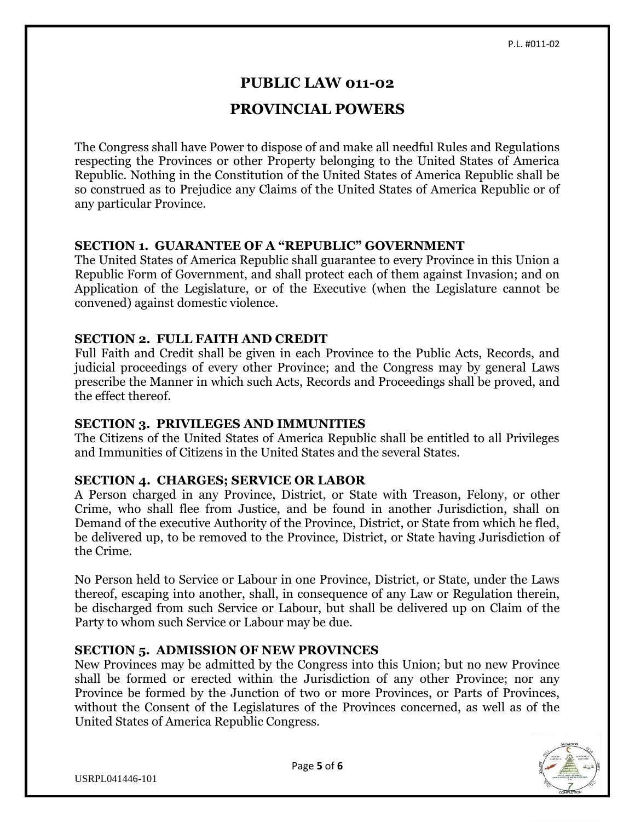### **PUBLIC LAW 011-02**

## **PROVINCIAL POWERS**

The Congress shall have Power to dispose of and make all needful Rules and Regulations respecting the Provinces or other Property belonging to the United States of America Republic. Nothing in the Constitution of the United States of America Republic shall be so construed as to Prejudice any Claims of the United States of America Republic or of any particular Province.

#### **SECTION 1. GUARANTEE OF A "REPUBLIC" GOVERNMENT**

The United States of America Republic shall guarantee to every Province in this Union a Republic Form of Government, and shall protect each of them against Invasion; and on Application of the Legislature, or of the Executive (when the Legislature cannot be convened) against domestic violence.

#### **SECTION 2. FULL FAITH AND CREDIT**

Full Faith and Credit shall be given in each Province to the Public Acts, Records, and judicial proceedings of every other Province; and the Congress may by general Laws prescribe the Manner in which such Acts, Records and Proceedings shall be proved, and the effect thereof.

#### **SECTION 3. PRIVILEGES AND IMMUNITIES**

The Citizens of the United States of America Republic shall be entitled to all Privileges and Immunities of Citizens in the United States and the several States.

#### **SECTION 4. CHARGES; SERVICE OR LABOR**

A Person charged in any Province, District, or State with Treason, Felony, or other Crime, who shall flee from Justice, and be found in another Jurisdiction, shall on Demand of the executive Authority of the Province, District, or State from which he fled, be delivered up, to be removed to the Province, District, or State having Jurisdiction of the Crime.

No Person held to Service or Labour in one Province, District, or State, under the Laws thereof, escaping into another, shall, in consequence of any Law or Regulation therein, be discharged from such Service or Labour, but shall be delivered up on Claim of the Party to whom such Service or Labour may be due.

#### **SECTION 5. ADMISSION OF NEW PROVINCES**

New Provinces may be admitted by the Congress into this Union; but no new Province shall be formed or erected within the Jurisdiction of any other Province; nor any Province be formed by the Junction of two or more Provinces, or Parts of Provinces, without the Consent of the Legislatures of the Provinces concerned, as well as of the United States of America Republic Congress.